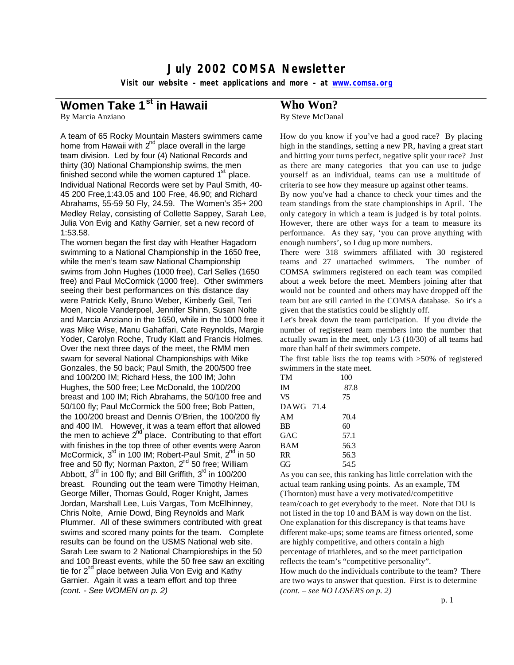# **July 2002 COMSA Newsletter**

**Visit our website – meet applications and more – at www.comsa.org**

# **Women Take 1st in Hawaii**

By Marcia Anziano

A team of 65 Rocky Mountain Masters swimmers came home from Hawaii with  $2^{nd}$  place overall in the large team division. Led by four (4) National Records and thirty (30) National Championship swims, the men finished second while the women captured  $1<sup>st</sup>$  place. Individual National Records were set by Paul Smith, 40- 45 200 Free,1:43.05 and 100 Free, 46.90; and Richard Abrahams, 55-59 50 Fly, 24.59. The Women's 35+ 200 Medley Relay, consisting of Collette Sappey, Sarah Lee, Julia Von Evig and Kathy Garnier, set a new record of 1:53.58.

The women began the first day with Heather Hagadorn swimming to a National Championship in the 1650 free, while the men's team saw National Championship swims from John Hughes (1000 free), Carl Selles (1650 free) and Paul McCormick (1000 free). Other swimmers seeing their best performances on this distance day were Patrick Kelly, Bruno Weber, Kimberly Geil, Teri Moen, Nicole Vanderpoel, Jennifer Shinn, Susan Nolte and Marcia Anziano in the 1650, while in the 1000 free it was Mike Wise, Manu Gahaffari, Cate Reynolds, Margie Yoder, Carolyn Roche, Trudy Klatt and Francis Holmes. Over the next three days of the meet, the RMM men swam for several National Championships with Mike Gonzales, the 50 back; Paul Smith, the 200/500 free and 100/200 IM; Richard Hess, the 100 IM; John Hughes, the 500 free; Lee McDonald, the 100/200 breast and 100 IM; Rich Abrahams, the 50/100 free and 50/100 fly; Paul McCormick the 500 free; Bob Patten, the 100/200 breast and Dennis O'Brien, the 100/200 fly and 400 IM. However, it was a team effort that allowed the men to achieve  $2^{nd}$  place. Contributing to that effort with finishes in the top three of other events were Aaron McCormick, 3<sup>rd</sup> in 100 IM; Robert-Paul Smit, 2<sup>nd</sup> in 50 free and 50 fly; Norman Paxton,  $2^{nd}$  50 free; William Abbott,  $3<sup>rd</sup>$  in 100 fly; and Bill Griffith,  $3<sup>rd</sup>$  in 100/200 breast. Rounding out the team were Timothy Heiman, George Miller, Thomas Gould, Roger Knight, James Jordan, Marshall Lee, Luis Vargas, Tom McElhinney, Chris Nolte, Arnie Dowd, Bing Reynolds and Mark Plummer. All of these swimmers contributed with great swims and scored many points for the team. Complete results can be found on the USMS National web site. Sarah Lee swam to 2 National Championships in the 50 and 100 Breast events, while the 50 free saw an exciting tie for  $2^{nd}$  place between Julia Von Evig and Kathy Garnier. Again it was a team effort and top three *(cont. - See WOMEN on p. 2)* 

# **Who Won?**

By Steve McDanal

How do you know if you've had a good race? By placing high in the standings, setting a new PR, having a great start and hitting your turns perfect, negative split your race? Just as there are many categories that you can use to judge yourself as an individual, teams can use a multitude of criteria to see how they measure up against other teams.

By now you've had a chance to check your times and the team standings from the state championships in April. The only category in which a team is judged is by total points. However, there are other ways for a team to measure its performance. As they say, 'you can prove anything with enough numbers', so I dug up more numbers.

There were 318 swimmers affiliated with 30 registered teams and 27 unattached swimmers. The number of COMSA swimmers registered on each team was compiled about a week before the meet. Members joining after that would not be counted and others may have dropped off the team but are still carried in the COMSA database. So it's a given that the statistics could be slightly off.

Let's break down the team participation. If you divide the number of registered team members into the number that actually swam in the meet, only 1/3 (10/30) of all teams had more than half of their swimmers compete.

The first table lists the top teams with >50% of registered swimmers in the state meet.

| TM         | 100  |
|------------|------|
| <b>IM</b>  | 87.8 |
| <b>VS</b>  | 75   |
| DAWG 71.4  |      |
| AM         | 70.4 |
| BB         | 60   |
| GAC        | 57.1 |
| <b>BAM</b> | 56.3 |
| <b>RR</b>  | 56.3 |
| GG         | 54.5 |

As you can see, this ranking has little correlation with the actual team ranking using points. As an example, TM (Thornton) must have a very motivated/competitive team/coach to get everybody to the meet. Note that DU is not listed in the top 10 and BAM is way down on the list. One explanation for this discrepancy is that teams have different make-ups; some teams are fitness oriented, some are highly competitive, and others contain a high percentage of triathletes, and so the meet participation reflects the team's "competitive personality". How much do the individuals contribute to the team? There are two ways to answer that question. First is to determine *(cont. – see NO LOSERS on p. 2)*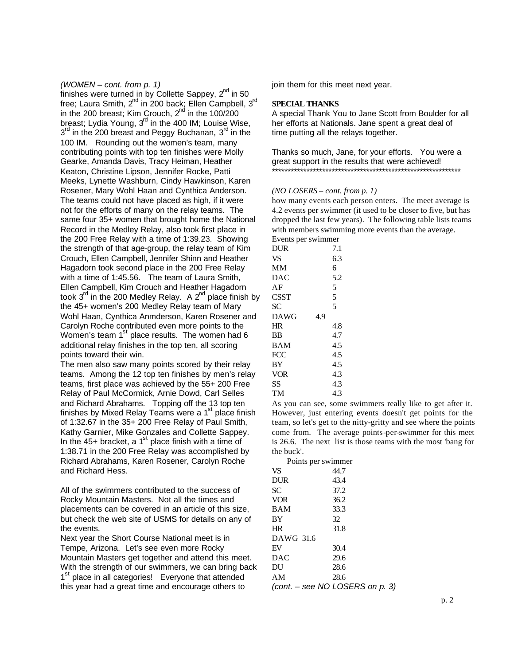# *(WOMEN – cont. from p. 1)*

finishes were turned in by Collette Sappey,  $2^{nd}$  in 50 free; Laura Smith,  $2^{nd}$  in 200 back; Ellen Campbell,  $3^{rd}$ in the 200 breast; Kim Crouch,  $2<sup>nd</sup>$  in the 100/200 breast; Lydia Young,  $3<sup>rd</sup>$  in the 400 IM; Louise Wise, 3<sup>rd</sup> in the 200 breast and Peggy Buchanan, 3<sup>rd</sup> in the 100 IM. Rounding out the women's team, many contributing points with top ten finishes were Molly Gearke, Amanda Davis, Tracy Heiman, Heather Keaton, Christine Lipson, Jennifer Rocke, Patti Meeks, Lynette Washburn, Cindy Hawkinson, Karen Rosener, Mary Wohl Haan and Cynthica Anderson. The teams could not have placed as high, if it were not for the efforts of many on the relay teams. The same four 35+ women that brought home the National Record in the Medley Relay, also took first place in the 200 Free Relay with a time of 1:39.23. Showing the strength of that age-group, the relay team of Kim Crouch, Ellen Campbell, Jennifer Shinn and Heather Hagadorn took second place in the 200 Free Relay with a time of 1:45.56. The team of Laura Smith, Ellen Campbell, Kim Crouch and Heather Hagadorn took  $3<sup>rd</sup>$  in the 200 Medley Relay. A  $2<sup>nd</sup>$  place finish by the 45+ women's 200 Medley Relay team of Mary Wohl Haan, Cynthica Anmderson, Karen Rosener and Carolyn Roche contributed even more points to the Women's team  $1<sup>st</sup>$  place results. The women had 6 additional relay finishes in the top ten, all scoring points toward their win.

The men also saw many points scored by their relay teams. Among the 12 top ten finishes by men's relay teams, first place was achieved by the 55+ 200 Free Relay of Paul McCormick, Arnie Dowd, Carl Selles and Richard Abrahams. Topping off the 13 top ten finishes by Mixed Relay Teams were a  $1<sup>st</sup>$  place finish of 1:32.67 in the 35+ 200 Free Relay of Paul Smith, Kathy Garnier, Mike Gonzales and Collette Sappey. In the 45+ bracket, a  $1<sup>st</sup>$  place finish with a time of 1:38.71 in the 200 Free Relay was accomplished by Richard Abrahams, Karen Rosener, Carolyn Roche and Richard Hess.

All of the swimmers contributed to the success of Rocky Mountain Masters. Not all the times and placements can be covered in an article of this size, but check the web site of USMS for details on any of the events.

Next year the Short Course National meet is in Tempe, Arizona. Let's see even more Rocky Mountain Masters get together and attend this meet. With the strength of our swimmers, we can bring back 1<sup>st</sup> place in all categories! Everyone that attended this year had a great time and encourage others to

join them for this meet next year.

# **SPECIAL THANKS**

A special Thank You to Jane Scott from Boulder for all her efforts at Nationals. Jane spent a great deal of time putting all the relays together.

Thanks so much, Jane, for your efforts. You were a great support in the results that were achieved! \*\*\*\*\*\*\*\*\*\*\*\*\*\*\*\*\*\*\*\*\*\*\*\*\*\*\*\*\*\*\*\*\*\*\*\*\*\*\*\*\*\*\*\*\*\*\*\*\*\*\*\*\*\*\*\*\*\*\*\*

# *(NO LOSERS – cont. from p. 1)*

how many events each person enters. The meet average is 4.2 events per swimmer (it used to be closer to five, but has dropped the last few years). The following table lists teams with members swimming more events than the average. Events per swimmer

| русны рег эминист |     |
|-------------------|-----|
| DUR               | 7.1 |
| VS                | 6.3 |
| MМ                | 6   |
| DAC               | 5.2 |
| AF                | 5   |
| CSST              | 5   |
| SС                | 5   |
| DAWG              | 4.9 |
| HR                | 4.8 |
| ΒB                | 4.7 |
| <b>BAM</b>        | 4.5 |
| FCC               | 4.5 |
| BY                | 4.5 |
| <b>VOR</b>        | 4.3 |
| SS                | 4.3 |
| TM                | 4.3 |

As you can see, some swimmers really like to get after it. However, just entering events doesn't get points for the team, so let's get to the nitty-gritty and see where the points come from. The average points-per-swimmer for this meet is 26.6. The next list is those teams with the most 'bang for the buck'.

| Points per swimmer |                                   |
|--------------------|-----------------------------------|
| VS                 | 44.7                              |
| <b>DUR</b>         | 43.4                              |
| SС                 | 37.2                              |
| <b>VOR</b>         | 36.2                              |
| <b>BAM</b>         | 33.3                              |
| BY                 | 32                                |
| HR                 | 31.8                              |
| DAWG 31.6          |                                   |
| EV                 | 30.4                              |
| DAC                | 29.6                              |
| DU                 | 28.6                              |
| ΑM                 | 28.6                              |
|                    | (cont. $-$ see NO LOSERS on p. 3) |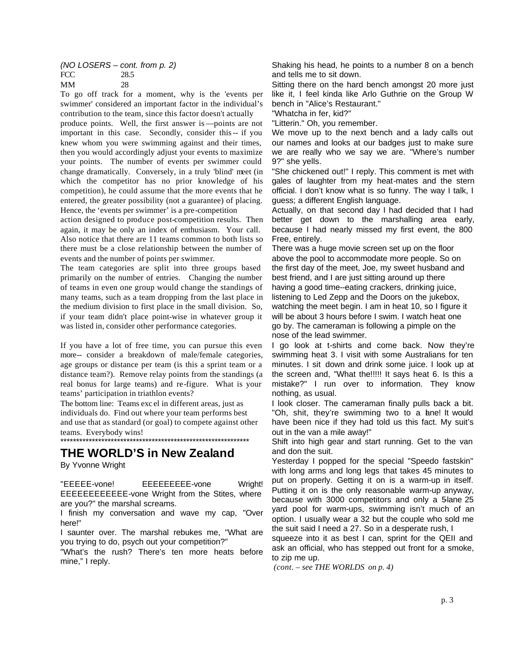# *(NO LOSERS – cont. from p. 2)* FCC 28.5 MM 28

To go off track for a moment, why is the 'events per swimmer' considered an important factor in the individual's contribution to the team, since this factor doesn't actually

produce points. Well, the first answer is—points are not important in this case. Secondly, consider this-- if you knew whom you were swimming against and their times, then you would accordingly adjust your events to maximize your points. The number of events per swimmer could change dramatically. Conversely, in a truly 'blind' meet (in which the competitor has no prior knowledge of his competition), he could assume that the more events that he entered, the greater possibility (not a guarantee) of placing. Hence, the 'events per swimmer' is a pre-competition

action designed to produce post-competition results. Then again, it may be only an index of enthusiasm. Your call. Also notice that there are 11 teams common to both lists so there must be a close relationship between the number of events and the number of points per swimmer.

The team categories are split into three groups based primarily on the number of entries. Changing the number of teams in even one group would change the standings of many teams, such as a team dropping from the last place in the medium division to first place in the small division. So, if your team didn't place point-wise in whatever group it was listed in, consider other performance categories.

If you have a lot of free time, you can pursue this even more-- consider a breakdown of male/female categories, age groups or distance per team (is this a sprint team or a distance team?). Remove relay points from the standings (a real bonus for large teams) and re-figure. What is your teams' participation in triathlon events?

The bottom line: Teams exc el in different areas, just as individuals do. Find out where your team performs best and use that as standard (or goal) to compete against other teams. Everybody wins!

\*\*\*\*\*\*\*\*\*\*\*\*\*\*\*\*\*\*\*\*\*\*\*\*\*\*\*\*\*\*\*\*\*\*\*\*\*\*\*\*\*\*\*\*\*\*\*\*\*\*\*\*\*\*\*\*\*\*\*\* **THE WORLD'S in New Zealand**

By Yvonne Wright

"EEEEE-vone! EEEEEEEEE-vone Wright! EEEEEEEEEEEE-vone Wright from the Stites, where are you?" the marshal screams.

I finish my conversation and wave my cap, "Over here!"

I saunter over. The marshal rebukes me, "What are you trying to do, psych out your competition?"

"What's the rush? There's ten more heats before mine," I reply.

Shaking his head, he points to a number 8 on a bench and tells me to sit down.

Sitting there on the hard bench amongst 20 more just like it, I feel kinda like Arlo Guthrie on the Group W bench in "Alice's Restaurant."

"Whatcha in fer, kid?"

"Litterin." Oh, you remember.

We move up to the next bench and a lady calls out our names and looks at our badges just to make sure we are really who we say we are. "Where's number 9?" she yells.

"She chickened out!" I reply. This comment is met with gales of laughter from my heat-mates and the stern official. I don't know what is so funny. The way I talk, I guess; a different English language.

Actually, on that second day I had decided that I had better get down to the marshalling area early, because I had nearly missed my first event, the 800 Free, entirely.

There was a huge movie screen set up on the floor above the pool to accommodate more people. So on the first day of the meet, Joe, my sweet husband and best friend, and I are just sitting around up there having a good time--eating crackers, drinking juice, listening to Led Zepp and the Doors on the jukebox, watching the meet begin. I am in heat 10, so I figure it will be about 3 hours before I swim. I watch heat one go by. The cameraman is following a pimple on the nose of the lead swimmer.

I go look at t-shirts and come back. Now they're swimming heat 3. I visit with some Australians for ten minutes. I sit down and drink some juice. I look up at the screen and, "What the!!!!! It says heat 6. Is this a mistake?" I run over to information. They know nothing, as usual.

I look closer. The cameraman finally pulls back a bit. "Oh, shit, they're swimming two to a lane! It would have been nice if they had told us this fact. My suit's out in the van a mile away!"

Shift into high gear and start running. Get to the van and don the suit.

Yesterday I popped for the special "Speedo fastskin" with long arms and long legs that takes 45 minutes to put on properly. Getting it on is a warm-up in itself. Putting it on is the only reasonable warm-up anyway, because with 3000 competitors and only a 5lane 25 yard pool for warm-ups, swimming isn't much of an option. I usually wear a 32 but the couple who sold me the suit said I need a 27. So in a desperate rush, I

squeeze into it as best I can, sprint for the QEII and ask an official, who has stepped out front for a smoke, to zip me up.

 *(cont. – see THE WORLDS on p. 4)*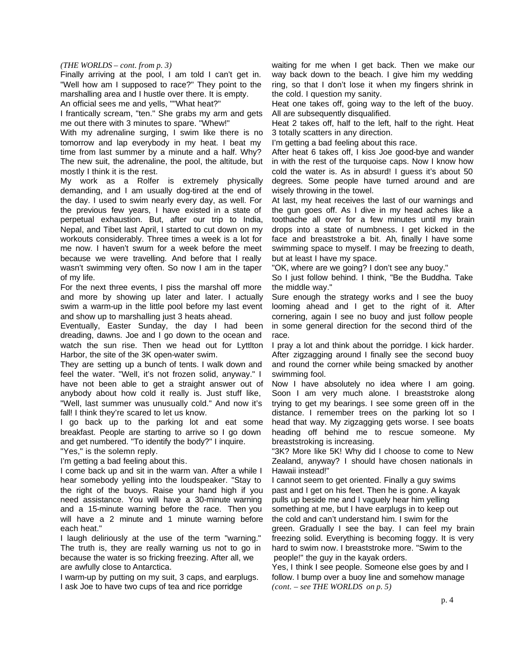## *(THE WORLDS – cont. from p. 3)*

Finally arriving at the pool, I am told I can't get in. "Well how am I supposed to race?" They point to the marshalling area and I hustle over there. It is empty. An official sees me and yells, ""What heat?"

I frantically scream, "ten." She grabs my arm and gets me out there with 3 minutes to spare. "Whew!"

With my adrenaline surging, I swim like there is no tomorrow and lap everybody in my heat. I beat my time from last summer by a minute and a half. Why? The new suit, the adrenaline, the pool, the altitude, but mostly I think it is the rest.

My work as a Rolfer is extremely physically demanding, and I am usually dog-tired at the end of the day. I used to swim nearly every day, as well. For the previous few years, I have existed in a state of perpetual exhaustion. But, after our trip to India, Nepal, and Tibet last April, I started to cut down on my workouts considerably. Three times a week is a lot for me now. I haven't swum for a week before the meet because we were travelling. And before that I really wasn't swimming very often. So now I am in the taper of my life.

For the next three events, I piss the marshal off more and more by showing up later and later. I actually swim a warm-up in the little pool before my last event and show up to marshalling just 3 heats ahead.

Eventually, Easter Sunday, the day I had been dreading, dawns. Joe and I go down to the ocean and watch the sun rise. Then we head out for Lyttlton Harbor, the site of the 3K open-water swim.

They are setting up a bunch of tents. I walk down and feel the water. "Well, it's not frozen solid, anyway." I have not been able to get a straight answer out of anybody about how cold it really is. Just stuff like, "Well, last summer was unusually cold." And now it's fall! I think they're scared to let us know.

I go back up to the parking lot and eat some breakfast. People are starting to arrive so I go down and get numbered. "To identify the body?" I inquire.

"Yes," is the solemn reply.

I'm getting a bad feeling about this.

I come back up and sit in the warm van. After a while I hear somebody yelling into the loudspeaker. "Stay to the right of the buoys. Raise your hand high if you need assistance. You will have a 30-minute warning and a 15-minute warning before the race. Then you will have a 2 minute and 1 minute warning before each heat."

I laugh deliriously at the use of the term "warning." The truth is, they are really warning us not to go in because the water is so fricking freezing. After all, we are awfully close to Antarctica.

I warm-up by putting on my suit, 3 caps, and earplugs. I ask Joe to have two cups of tea and rice porridge

waiting for me when I get back. Then we make our way back down to the beach. I give him my wedding ring, so that I don't lose it when my fingers shrink in the cold. I question my sanity.

Heat one takes off, going way to the left of the buoy. All are subsequently disqualified.

Heat 2 takes off, half to the left, half to the right. Heat 3 totally scatters in any direction.

I'm getting a bad feeling about this race.

After heat 6 takes off, I kiss Joe good-bye and wander in with the rest of the turquoise caps. Now I know how cold the water is. As in absurd! I guess it's about 50 degrees. Some people have turned around and are wisely throwing in the towel.

At last, my heat receives the last of our warnings and the gun goes off. As I dive in my head aches like a toothache all over for a few minutes until my brain drops into a state of numbness. I get kicked in the face and breaststroke a bit. Ah, finally I have some swimming space to myself. I may be freezing to death, but at least I have my space.

"OK, where are we going? I don't see any buoy."

So I just follow behind. I think, "Be the Buddha. Take the middle way."

Sure enough the strategy works and I see the buoy looming ahead and I get to the right of it. After cornering, again I see no buoy and just follow people in some general direction for the second third of the race.

I pray a lot and think about the porridge. I kick harder. After zigzagging around I finally see the second buoy and round the corner while being smacked by another swimming fool.

Now I have absolutely no idea where I am going. Soon I am very much alone. I breaststroke along trying to get my bearings. I see some green off in the distance. I remember trees on the parking lot so I head that way. My zigzagging gets worse. I see boats heading off behind me to rescue someone. My breaststroking is increasing.

"3K? More like 5K! Why did I choose to come to New Zealand, anyway? I should have chosen nationals in Hawaii instead!"

I cannot seem to get oriented. Finally a guy swims past and I get on his feet. Then he is gone. A kayak pulls up beside me and I vaguely hear him yelling something at me, but I have earplugs in to keep out the cold and can't understand him. I swim for the green. Gradually I see the bay. I can feel my brain freezing solid. Everything is becoming foggy. It is very hard to swim now. I breaststroke more. "Swim to the people!" the guy in the kayak orders.

Yes, I think I see people. Someone else goes by and I follow. I bump over a buoy line and somehow manage *(cont. – see THE WORLDS on p. 5)*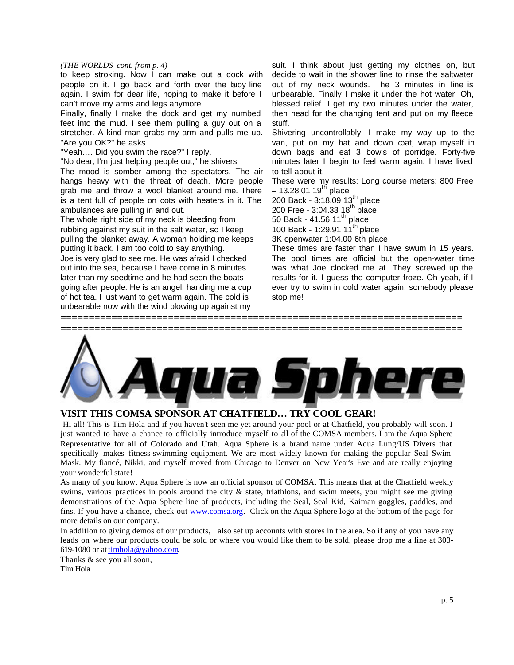# *(THE WORLDS cont. from p. 4)*

to keep stroking. Now I can make out a dock with people on it. I go back and forth over the buoy line again. I swim for dear life, hoping to make it before I can't move my arms and legs anymore.

Finally, finally I make the dock and get my numbed feet into the mud. I see them pulling a guy out on a stretcher. A kind man grabs my arm and pulls me up. "Are you OK?" he asks.

"Yeah.… Did you swim the race?" I reply.

"No dear, I'm just helping people out," he shivers.

The mood is somber among the spectators. The air hangs heavy with the threat of death. More people grab me and throw a wool blanket around me. There is a tent full of people on cots with heaters in it. The ambulances are pulling in and out.

The whole right side of my neck is bleeding from rubbing against my suit in the salt water, so I keep pulling the blanket away. A woman holding me keeps putting it back. I am too cold to say anything.

Joe is very glad to see me. He was afraid I checked out into the sea, because I have come in 8 minutes later than my seedtime and he had seen the boats going after people. He is an angel, handing me a cup of hot tea. I just want to get warm again. The cold is unbearable now with the wind blowing up against my

suit. I think about just getting my clothes on, but decide to wait in the shower line to rinse the saltwater out of my neck wounds. The 3 minutes in line is unbearable. Finally I make it under the hot water. Oh, blessed relief. I get my two minutes under the water, then head for the changing tent and put on my fleece stuff.

Shivering uncontrollably, I make my way up to the van, put on my hat and down coat, wrap myself in down bags and eat 3 bowls of porridge. Forty-five minutes later I begin to feel warm again. I have lived to tell about it.

These were my results: Long course meters: 800 Free – 13.28.01 19<sup>th</sup> place

200 Back - 3:18.09 13<sup>th</sup> place 200 Free - 3:04.33  $18^{th}$  place 50 Back - 41.56  $11<sup>th</sup>$  place

100 Back - 1:29.91  $11^{th}$  place

3K openwater 1:04.00 6th place

These times are faster than I have swum in 15 years. The pool times are official but the open-water time was what Joe clocked me at. They screwed up the results for it. I guess the computer froze. Oh yeah, if I ever try to swim in cold water again, somebody please stop me!



**=======================================================================**

# **VISIT THIS COMSA SPONSOR AT CHATFIELD… TRY COOL GEAR!**

 Hi all! This is Tim Hola and if you haven't seen me yet around your pool or at Chatfield, you probably will soon. I just wanted to have a chance to officially introduce myself to all of the COMSA members. I am the Aqua Sphere Representative for all of Colorado and Utah. Aqua Sphere is a brand name under Aqua Lung/US Divers that specifically makes fitness-swimming equipment. We are most widely known for making the popular Seal Swim Mask. My fiancé, Nikki, and myself moved from Chicago to Denver on New Year's Eve and are really enjoying your wonderful state!

As many of you know, Aqua Sphere is now an official sponsor of COMSA. This means that at the Chatfield weekly swims, various practices in pools around the city & state, triathlons, and swim meets, you might see me giving demonstrations of the Aqua Sphere line of products, including the Seal, Seal Kid, Kaiman goggles, paddles, and fins. If you have a chance, check out www.comsa.org. Click on the Aqua Sphere logo at the bottom of the page for more details on our company.

In addition to giving demos of our products, I also set up accounts with stores in the area. So if any of you have any leads on where our products could be sold or where you would like them to be sold, please drop me a line at 303- 619-1080 or at timhola@yahoo.com.

Thanks & see you all soon, Tim Hola